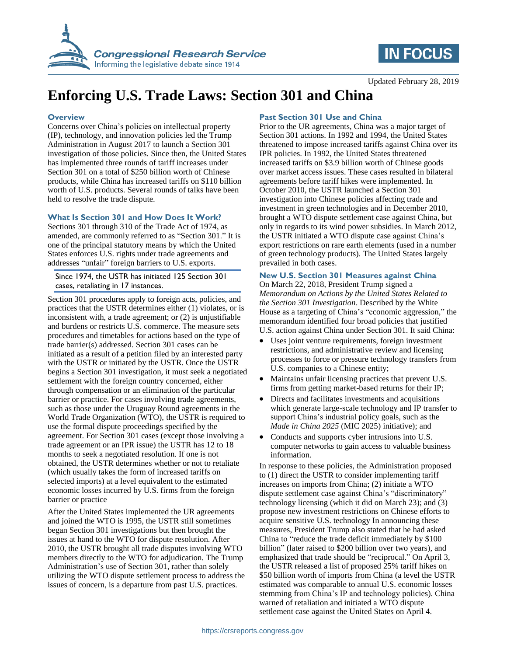



Updated February 28, 2019

# **Enforcing U.S. Trade Laws: Section 301 and China**

#### **Overview**

Concerns over China's policies on intellectual property (IP), technology, and innovation policies led the Trump Administration in August 2017 to launch a Section 301 investigation of those policies. Since then, the United States has implemented three rounds of tariff increases under Section 301 on a total of \$250 billion worth of Chinese products, while China has increased tariffs on \$110 billion worth of U.S. products. Several rounds of talks have been held to resolve the trade dispute.

### **What Is Section 301 and How Does It Work?**

Sections 301 through 310 of the Trade Act of 1974, as amended, are commonly referred to as "Section 301." It is one of the principal statutory means by which the United States enforces U.S. rights under trade agreements and addresses "unfair" foreign barriers to U.S. exports.

Since 1974, the USTR has initiated 125 Section 301 cases, retaliating in 17 instances.

Section 301 procedures apply to foreign acts, policies, and practices that the USTR determines either (1) violates, or is inconsistent with, a trade agreement; or (2) is unjustifiable and burdens or restricts U.S. commerce. The measure sets procedures and timetables for actions based on the type of trade barrier(s) addressed. Section 301 cases can be initiated as a result of a petition filed by an interested party with the USTR or initiated by the USTR. Once the USTR begins a Section 301 investigation, it must seek a negotiated settlement with the foreign country concerned, either through compensation or an elimination of the particular barrier or practice. For cases involving trade agreements, such as those under the Uruguay Round agreements in the World Trade Organization (WTO), the USTR is required to use the formal dispute proceedings specified by the agreement. For Section 301 cases (except those involving a trade agreement or an IPR issue) the USTR has 12 to 18 months to seek a negotiated resolution. If one is not obtained, the USTR determines whether or not to retaliate (which usually takes the form of increased tariffs on selected imports) at a level equivalent to the estimated economic losses incurred by U.S. firms from the foreign barrier or practice

After the United States implemented the UR agreements and joined the WTO is 1995, the USTR still sometimes began Section 301 investigations but then brought the issues at hand to the WTO for dispute resolution. After 2010, the USTR brought all trade disputes involving WTO members directly to the WTO for adjudication. The Trump Administration's use of Section 301, rather than solely utilizing the WTO dispute settlement process to address the issues of concern, is a departure from past U.S. practices.

# **Past Section 301 Use and China**

Prior to the UR agreements, China was a major target of Section 301 actions. In 1992 and 1994, the United States threatened to impose increased tariffs against China over its IPR policies. In 1992, the United States threatened increased tariffs on \$3.9 billion worth of Chinese goods over market access issues. These cases resulted in bilateral agreements before tariff hikes were implemented. In October 2010, the USTR launched a Section 301 investigation into Chinese policies affecting trade and investment in green technologies and in December 2010, brought a WTO dispute settlement case against China, but only in regards to its wind power subsidies. In March 2012, the USTR initiated a WTO dispute case against China's export restrictions on rare earth elements (used in a number of green technology products). The United States largely prevailed in both cases.

# **New U.S. Section 301 Measures against China**

On March 22, 2018, President Trump signed a *Memorandum on Actions by the United States Related to the Section 301 Investigation*. Described by the White House as a targeting of China's "economic aggression," the memorandum identified four broad policies that justified U.S. action against China under Section 301. It said China:

- Uses joint venture requirements, foreign investment restrictions, and administrative review and licensing processes to force or pressure technology transfers from U.S. companies to a Chinese entity;
- Maintains unfair licensing practices that prevent U.S. firms from getting market-based returns for their IP;
- Directs and facilitates investments and acquisitions which generate large-scale technology and IP transfer to support China's industrial policy goals, such as the *Made in China 2025* (MIC 2025) initiative); and
- Conducts and supports cyber intrusions into U.S. computer networks to gain access to valuable business information.

In response to these policies, the Administration proposed to (1) direct the USTR to consider implementing tariff increases on imports from China; (2) initiate a WTO dispute settlement case against China's "discriminatory" technology licensing (which it did on March 23); and (3) propose new investment restrictions on Chinese efforts to acquire sensitive U.S. technology In announcing these measures, President Trump also stated that he had asked China to "reduce the trade deficit immediately by \$100 billion" (later raised to \$200 billion over two years), and emphasized that trade should be "reciprocal." On April 3, the USTR released a list of proposed 25% tariff hikes on \$50 billion worth of imports from China (a level the USTR estimated was comparable to annual U.S. economic losses stemming from China's IP and technology policies). China warned of retaliation and initiated a WTO dispute settlement case against the United States on April 4.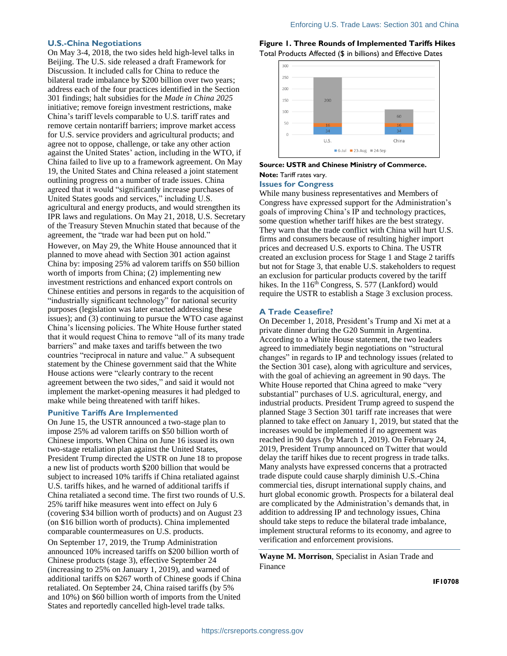#### **U.S.-China Negotiations**

On May 3-4, 2018, the two sides held high-level talks in Beijing. The U.S. side released a draft Framework for Discussion. It included calls for China to reduce the bilateral trade imbalance by \$200 billion over two years; address each of the four practices identified in the Section 301 findings; halt subsidies for the *Made in China 2025* initiative; remove foreign investment restrictions, make China's tariff levels comparable to U.S. tariff rates and remove certain nontariff barriers; improve market access for U.S. service providers and agricultural products; and agree not to oppose, challenge, or take any other action against the United States' action, including in the WTO, if China failed to live up to a framework agreement. On May 19, the United States and China released a joint statement outlining progress on a number of trade issues. China agreed that it would "significantly increase purchases of United States goods and services," including U.S. agricultural and energy products, and would strengthen its IPR laws and regulations. On May 21, 2018, U.S. Secretary of the Treasury Steven Mnuchin stated that because of the agreement, the "trade war had been put on hold."

However, on May 29, the White House announced that it planned to move ahead with Section 301 action against China by: imposing 25% ad valorem tariffs on \$50 billion worth of imports from China; (2) implementing new investment restrictions and enhanced export controls on Chinese entities and persons in regards to the acquisition of "industrially significant technology" for national security purposes (legislation was later enacted addressing these issues); and (3) continuing to pursue the WTO case against China's licensing policies. The White House further stated that it would request China to remove "all of its many trade barriers" and make taxes and tariffs between the two countries "reciprocal in nature and value." A subsequent statement by the Chinese government said that the White House actions were "clearly contrary to the recent agreement between the two sides," and said it would not implement the market-opening measures it had pledged to make while being threatened with tariff hikes.

#### **Punitive Tariffs Are Implemented**

On June 15, the USTR announced a two-stage plan to impose 25% ad valorem tariffs on \$50 billion worth of Chinese imports. When China on June 16 issued its own two-stage retaliation plan against the United States, President Trump directed the USTR on June 18 to propose a new list of products worth \$200 billion that would be subject to increased 10% tariffs if China retaliated against U.S. tariffs hikes, and he warned of additional tariffs if China retaliated a second time. The first two rounds of U.S. 25% tariff hike measures went into effect on July 6 (covering \$34 billion worth of products) and on August 23 (on \$16 billion worth of products). China implemented comparable countermeasures on U.S. products. On September 17, 2019, the Trump Administration announced 10% increased tariffs on \$200 billion worth of Chinese products (stage 3), effective September 24 (increasing to 25% on January 1, 2019), and warned of additional tariffs on \$267 worth of Chinese goods if China retaliated. On September 24, China raised tariffs (by 5% and 10%) on \$60 billion worth of imports from the United States and reportedly cancelled high-level trade talks.

**Figure 1. Three Rounds of Implemented Tariffs Hikes**  Total Products Affected (\$ in billions) and Effective Dates



## **Source: USTR and Chinese Ministry of Commerce. Note:** Tariff rates vary.

### **Issues for Congress**

While many business representatives and Members of Congress have expressed support for the Administration's goals of improving China's IP and technology practices, some question whether tariff hikes are the best strategy. They warn that the trade conflict with China will hurt U.S. firms and consumers because of resulting higher import prices and decreased U.S. exports to China. The USTR created an exclusion process for Stage 1 and Stage 2 tariffs but not for Stage 3, that enable U.S. stakeholders to request an exclusion for particular products covered by the tariff hikes. In the  $116<sup>th</sup> Congress, S. 577 (Lankford) would$ require the USTR to establish a Stage 3 exclusion process.

#### **A Trade Ceasefire?**

On December 1, 2018, President's Trump and Xi met at a private dinner during the G20 Summit in Argentina. According to a White House statement, the two leaders agreed to immediately begin negotiations on "structural changes" in regards to IP and technology issues (related to the Section 301 case), along with agriculture and services, with the goal of achieving an agreement in 90 days. The White House reported that China agreed to make "very substantial" purchases of U.S. agricultural, energy, and industrial products. President Trump agreed to suspend the planned Stage 3 Section 301 tariff rate increases that were planned to take effect on January 1, 2019, but stated that the increases would be implemented if no agreement was reached in 90 days (by March 1, 2019). On February 24, 2019, President Trump announced on Twitter that would delay the tariff hikes due to recent progress in trade talks. Many analysts have expressed concerns that a protracted trade dispute could cause sharply diminish U.S.-China commercial ties, disrupt international supply chains, and hurt global economic growth. Prospects for a bilateral deal are complicated by the Administration's demands that, in addition to addressing IP and technology issues, China should take steps to reduce the bilateral trade imbalance, implement structural reforms to its economy, and agree to verification and enforcement provisions.

**Wayne M. Morrison**, Specialist in Asian Trade and Finance